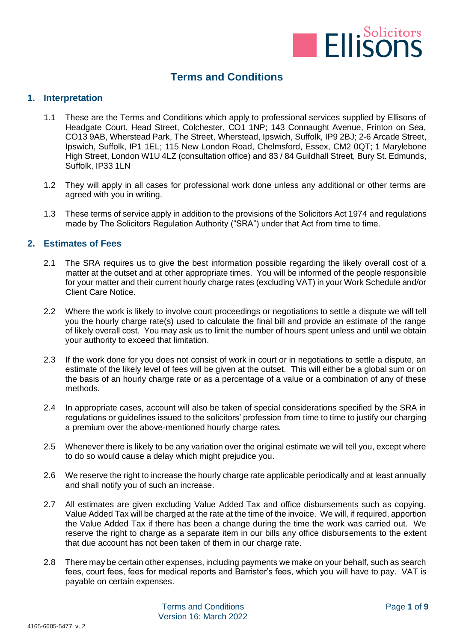

# **Terms and Conditions**

## **1. Interpretation**

- 1.1 These are the Terms and Conditions which apply to professional services supplied by Ellisons of Headgate Court, Head Street, Colchester, CO1 1NP; 143 Connaught Avenue, Frinton on Sea, CO13 9AB, Wherstead Park, The Street, Wherstead, Ipswich, Suffolk, IP9 2BJ; 2-6 Arcade Street, Ipswich, Suffolk, IP1 1EL; 115 New London Road, Chelmsford, Essex, CM2 0QT; 1 Marylebone High Street, London W1U 4LZ (consultation office) and 83 / 84 Guildhall Street, Bury St. Edmunds, Suffolk, IP33 1LN
- 1.2 They will apply in all cases for professional work done unless any additional or other terms are agreed with you in writing.
- 1.3 These terms of service apply in addition to the provisions of the Solicitors Act 1974 and regulations made by The Solicitors Regulation Authority ("SRA") under that Act from time to time.

## **2. Estimates of Fees**

- 2.1 The SRA requires us to give the best information possible regarding the likely overall cost of a matter at the outset and at other appropriate times. You will be informed of the people responsible for your matter and their current hourly charge rates (excluding VAT) in your Work Schedule and/or Client Care Notice.
- 2.2 Where the work is likely to involve court proceedings or negotiations to settle a dispute we will tell you the hourly charge rate(s) used to calculate the final bill and provide an estimate of the range of likely overall cost. You may ask us to limit the number of hours spent unless and until we obtain your authority to exceed that limitation.
- 2.3 If the work done for you does not consist of work in court or in negotiations to settle a dispute, an estimate of the likely level of fees will be given at the outset. This will either be a global sum or on the basis of an hourly charge rate or as a percentage of a value or a combination of any of these methods.
- 2.4 In appropriate cases, account will also be taken of special considerations specified by the SRA in regulations or guidelines issued to the solicitors' profession from time to time to justify our charging a premium over the above-mentioned hourly charge rates.
- 2.5 Whenever there is likely to be any variation over the original estimate we will tell you, except where to do so would cause a delay which might prejudice you.
- 2.6 We reserve the right to increase the hourly charge rate applicable periodically and at least annually and shall notify you of such an increase.
- 2.7 All estimates are given excluding Value Added Tax and office disbursements such as copying. Value Added Tax will be charged at the rate at the time of the invoice. We will, if required, apportion the Value Added Tax if there has been a change during the time the work was carried out. We reserve the right to charge as a separate item in our bills any office disbursements to the extent that due account has not been taken of them in our charge rate.
- 2.8 There may be certain other expenses, including payments we make on your behalf, such as search fees, court fees, fees for medical reports and Barrister's fees, which you will have to pay. VAT is payable on certain expenses.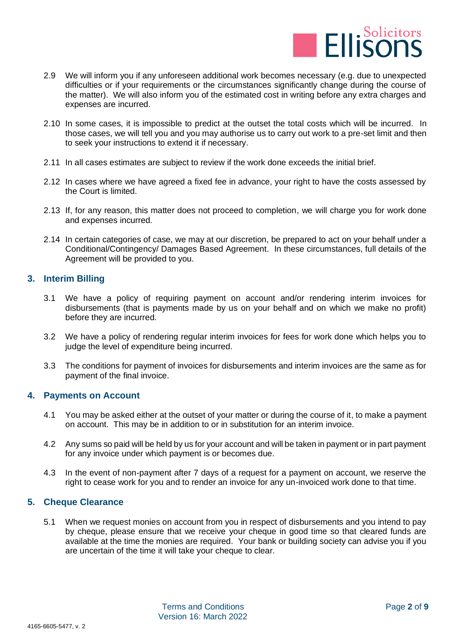

- 2.9 We will inform you if any unforeseen additional work becomes necessary (e.g. due to unexpected difficulties or if your requirements or the circumstances significantly change during the course of the matter). We will also inform you of the estimated cost in writing before any extra charges and expenses are incurred.
- 2.10 In some cases, it is impossible to predict at the outset the total costs which will be incurred. In those cases, we will tell you and you may authorise us to carry out work to a pre-set limit and then to seek your instructions to extend it if necessary.
- 2.11 In all cases estimates are subject to review if the work done exceeds the initial brief.
- 2.12 In cases where we have agreed a fixed fee in advance, your right to have the costs assessed by the Court is limited.
- 2.13 If, for any reason, this matter does not proceed to completion, we will charge you for work done and expenses incurred.
- 2.14 In certain categories of case, we may at our discretion, be prepared to act on your behalf under a Conditional/Contingency/ Damages Based Agreement. In these circumstances, full details of the Agreement will be provided to you.

# **3. Interim Billing**

- 3.1 We have a policy of requiring payment on account and/or rendering interim invoices for disbursements (that is payments made by us on your behalf and on which we make no profit) before they are incurred.
- 3.2 We have a policy of rendering regular interim invoices for fees for work done which helps you to judge the level of expenditure being incurred.
- 3.3 The conditions for payment of invoices for disbursements and interim invoices are the same as for payment of the final invoice.

## **4. Payments on Account**

- 4.1 You may be asked either at the outset of your matter or during the course of it, to make a payment on account. This may be in addition to or in substitution for an interim invoice.
- 4.2 Any sums so paid will be held by us for your account and will be taken in payment or in part payment for any invoice under which payment is or becomes due.
- 4.3 In the event of non-payment after 7 days of a request for a payment on account, we reserve the right to cease work for you and to render an invoice for any un-invoiced work done to that time.

## **5. Cheque Clearance**

5.1 When we request monies on account from you in respect of disbursements and you intend to pay by cheque, please ensure that we receive your cheque in good time so that cleared funds are available at the time the monies are required. Your bank or building society can advise you if you are uncertain of the time it will take your cheque to clear.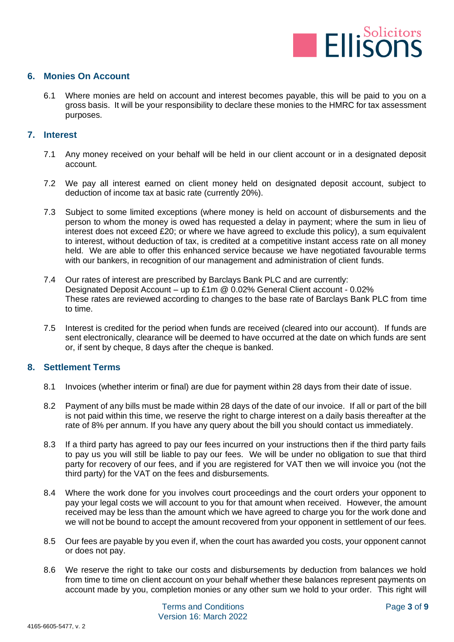

## **6. Monies On Account**

6.1 Where monies are held on account and interest becomes payable, this will be paid to you on a gross basis. It will be your responsibility to declare these monies to the HMRC for tax assessment purposes.

## **7. Interest**

- 7.1 Any money received on your behalf will be held in our client account or in a designated deposit account.
- 7.2 We pay all interest earned on client money held on designated deposit account, subject to deduction of income tax at basic rate (currently 20%).
- 7.3 Subject to some limited exceptions (where money is held on account of disbursements and the person to whom the money is owed has requested a delay in payment; where the sum in lieu of interest does not exceed £20; or where we have agreed to exclude this policy), a sum equivalent to interest, without deduction of tax, is credited at a competitive instant access rate on all money held. We are able to offer this enhanced service because we have negotiated favourable terms with our bankers, in recognition of our management and administration of client funds.
- 7.4 Our rates of interest are prescribed by Barclays Bank PLC and are currently: Designated Deposit Account – up to £1m @ 0.02% General Client account - 0.02% These rates are reviewed according to changes to the base rate of Barclays Bank PLC from time to time.
- 7.5 Interest is credited for the period when funds are received (cleared into our account). If funds are sent electronically, clearance will be deemed to have occurred at the date on which funds are sent or, if sent by cheque, 8 days after the cheque is banked.

## **8. Settlement Terms**

- 8.1 Invoices (whether interim or final) are due for payment within 28 days from their date of issue.
- 8.2 Payment of any bills must be made within 28 days of the date of our invoice. If all or part of the bill is not paid within this time, we reserve the right to charge interest on a daily basis thereafter at the rate of 8% per annum. If you have any query about the bill you should contact us immediately.
- 8.3 If a third party has agreed to pay our fees incurred on your instructions then if the third party fails to pay us you will still be liable to pay our fees. We will be under no obligation to sue that third party for recovery of our fees, and if you are registered for VAT then we will invoice you (not the third party) for the VAT on the fees and disbursements.
- 8.4 Where the work done for you involves court proceedings and the court orders your opponent to pay your legal costs we will account to you for that amount when received. However, the amount received may be less than the amount which we have agreed to charge you for the work done and we will not be bound to accept the amount recovered from your opponent in settlement of our fees.
- 8.5 Our fees are payable by you even if, when the court has awarded you costs, your opponent cannot or does not pay.
- 8.6 We reserve the right to take our costs and disbursements by deduction from balances we hold from time to time on client account on your behalf whether these balances represent payments on account made by you, completion monies or any other sum we hold to your order. This right will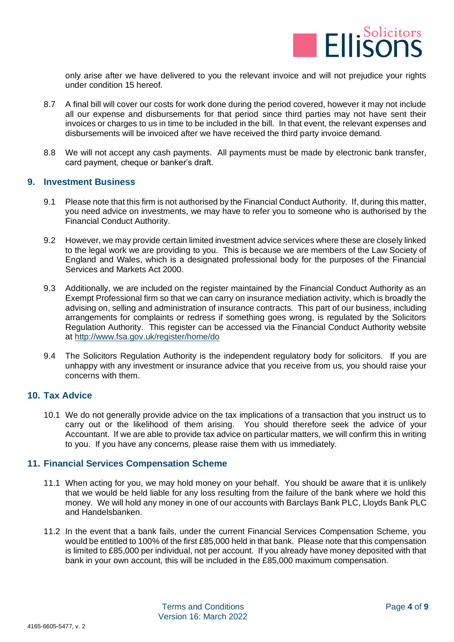

only arise after we have delivered to you the relevant invoice and will not prejudice your rights under condition 15 hereof.

- 8.7 A final bill will cover our costs for work done during the period covered, however it may not include all our expense and disbursements for that period since third parties may not have sent their invoices or charges to us in time to be included in the bill. In that event, the relevant expenses and disbursements will be invoiced after we have received the third party invoice demand.
- 8.8 We will not accept any cash payments. All payments must be made by electronic bank transfer, card payment, cheque or banker's draft.

## **9. Investment Business**

- 9.1 Please note that this firm is not authorised by the Financial Conduct Authority. If, during this matter, you need advice on investments, we may have to refer you to someone who is authorised by the Financial Conduct Authority.
- 9.2 However, we may provide certain limited investment advice services where these are closely linked to the legal work we are providing to you. This is because we are members of the Law Society of England and Wales, which is a designated professional body for the purposes of the Financial Services and Markets Act 2000.
- 9.3 Additionally, we are included on the register maintained by the Financial Conduct Authority as an Exempt Professional firm so that we can carry on insurance mediation activity, which is broadly the advising on, selling and administration of insurance contracts. This part of our business, including arrangements for complaints or redress if something goes wrong, is regulated by the Solicitors Regulation Authority. This register can be accessed via the Financial Conduct Authority website at <http://www.fsa.gov.uk/register/home/do>
- 9.4 The Solicitors Regulation Authority is the independent regulatory body for solicitors. If you are unhappy with any investment or insurance advice that you receive from us, you should raise your concerns with them.

## **10. Tax Advice**

10.1 We do not generally provide advice on the tax implications of a transaction that you instruct us to carry out or the likelihood of them arising. You should therefore seek the advice of your Accountant. If we are able to provide tax advice on particular matters, we will confirm this in writing to you. If you have any concerns, please raise them with us immediately.

## **11. Financial Services Compensation Scheme**

- 11.1 When acting for you, we may hold money on your behalf. You should be aware that it is unlikely that we would be held liable for any loss resulting from the failure of the bank where we hold this money. We will hold any money in one of our accounts with Barclays Bank PLC, Lloyds Bank PLC and Handelsbanken.
- 11.2 In the event that a bank fails, under the current Financial Services Compensation Scheme, you would be entitled to 100% of the first £85,000 held in that bank. Please note that this compensation is limited to £85,000 per individual, not per account. If you already have money deposited with that bank in your own account, this will be included in the £85,000 maximum compensation.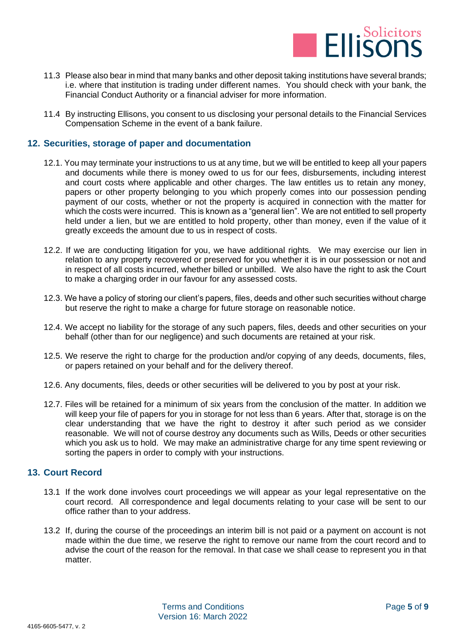

- 11.3 Please also bear in mind that many banks and other deposit taking institutions have several brands; i.e. where that institution is trading under different names. You should check with your bank, the Financial Conduct Authority or a financial adviser for more information.
- 11.4 By instructing Ellisons, you consent to us disclosing your personal details to the Financial Services Compensation Scheme in the event of a bank failure.

## **12. Securities, storage of paper and documentation**

- 12.1. You may terminate your instructions to us at any time, but we will be entitled to keep all your papers and documents while there is money owed to us for our fees, disbursements, including interest and court costs where applicable and other charges. The law entitles us to retain any money, papers or other property belonging to you which properly comes into our possession pending payment of our costs, whether or not the property is acquired in connection with the matter for which the costs were incurred. This is known as a "general lien". We are not entitled to sell property held under a lien, but we are entitled to hold property, other than money, even if the value of it greatly exceeds the amount due to us in respect of costs.
- 12.2. If we are conducting litigation for you, we have additional rights. We may exercise our lien in relation to any property recovered or preserved for you whether it is in our possession or not and in respect of all costs incurred, whether billed or unbilled. We also have the right to ask the Court to make a charging order in our favour for any assessed costs.
- 12.3. We have a policy of storing our client's papers, files, deeds and other such securities without charge but reserve the right to make a charge for future storage on reasonable notice.
- 12.4. We accept no liability for the storage of any such papers, files, deeds and other securities on your behalf (other than for our negligence) and such documents are retained at your risk.
- 12.5. We reserve the right to charge for the production and/or copying of any deeds, documents, files, or papers retained on your behalf and for the delivery thereof.
- 12.6. Any documents, files, deeds or other securities will be delivered to you by post at your risk.
- 12.7. Files will be retained for a minimum of six years from the conclusion of the matter. In addition we will keep your file of papers for you in storage for not less than 6 years. After that, storage is on the clear understanding that we have the right to destroy it after such period as we consider reasonable. We will not of course destroy any documents such as Wills, Deeds or other securities which you ask us to hold. We may make an administrative charge for any time spent reviewing or sorting the papers in order to comply with your instructions.

# **13. Court Record**

- 13.1 If the work done involves court proceedings we will appear as your legal representative on the court record. All correspondence and legal documents relating to your case will be sent to our office rather than to your address.
- 13.2 If, during the course of the proceedings an interim bill is not paid or a payment on account is not made within the due time, we reserve the right to remove our name from the court record and to advise the court of the reason for the removal. In that case we shall cease to represent you in that matter.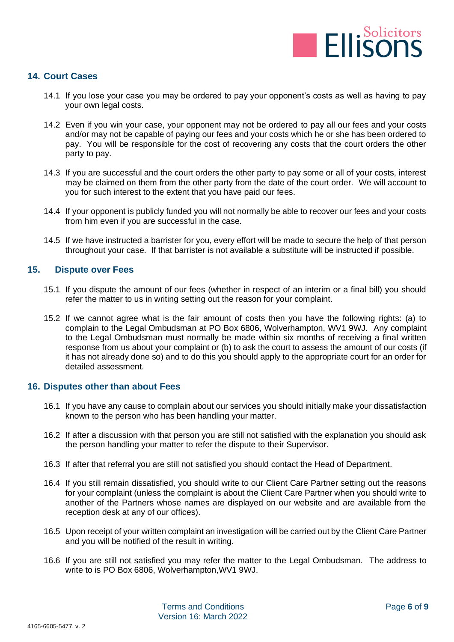

# **14. Court Cases**

- 14.1 If you lose your case you may be ordered to pay your opponent's costs as well as having to pay your own legal costs.
- 14.2 Even if you win your case, your opponent may not be ordered to pay all our fees and your costs and/or may not be capable of paying our fees and your costs which he or she has been ordered to pay. You will be responsible for the cost of recovering any costs that the court orders the other party to pay.
- 14.3 If you are successful and the court orders the other party to pay some or all of your costs, interest may be claimed on them from the other party from the date of the court order. We will account to you for such interest to the extent that you have paid our fees.
- 14.4 If your opponent is publicly funded you will not normally be able to recover our fees and your costs from him even if you are successful in the case.
- 14.5 If we have instructed a barrister for you, every effort will be made to secure the help of that person throughout your case. If that barrister is not available a substitute will be instructed if possible.

#### **15. Dispute over Fees**

- 15.1 If you dispute the amount of our fees (whether in respect of an interim or a final bill) you should refer the matter to us in writing setting out the reason for your complaint.
- 15.2 If we cannot agree what is the fair amount of costs then you have the following rights: (a) to complain to the Legal Ombudsman at PO Box 6806, Wolverhampton, WV1 9WJ. Any complaint to the Legal Ombudsman must normally be made within six months of receiving a final written response from us about your complaint or (b) to ask the court to assess the amount of our costs (if it has not already done so) and to do this you should apply to the appropriate court for an order for detailed assessment.

## **16. Disputes other than about Fees**

- 16.1 If you have any cause to complain about our services you should initially make your dissatisfaction known to the person who has been handling your matter.
- 16.2 If after a discussion with that person you are still not satisfied with the explanation you should ask the person handling your matter to refer the dispute to their Supervisor.
- 16.3 If after that referral you are still not satisfied you should contact the Head of Department.
- 16.4 If you still remain dissatisfied, you should write to our Client Care Partner setting out the reasons for your complaint (unless the complaint is about the Client Care Partner when you should write to another of the Partners whose names are displayed on our website and are available from the reception desk at any of our offices).
- 16.5 Upon receipt of your written complaint an investigation will be carried out by the Client Care Partner and you will be notified of the result in writing.
- 16.6 If you are still not satisfied you may refer the matter to the Legal Ombudsman. The address to write to is PO Box 6806, Wolverhampton,WV1 9WJ.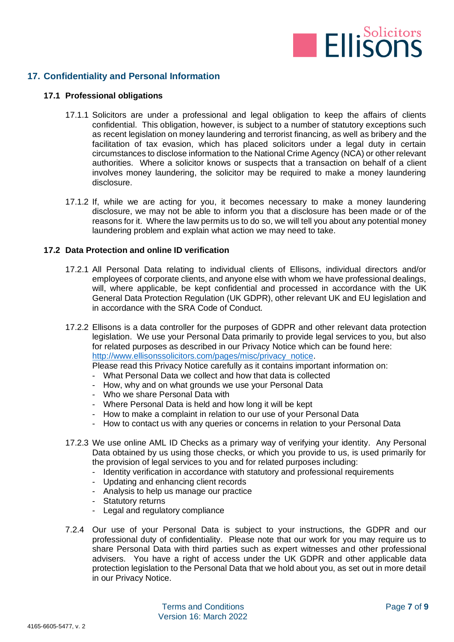

# **17. Confidentiality and Personal Information**

## **17.1 Professional obligations**

- 17.1.1 Solicitors are under a professional and legal obligation to keep the affairs of clients confidential. This obligation, however, is subject to a number of statutory exceptions such as recent legislation on money laundering and terrorist financing, as well as bribery and the facilitation of tax evasion, which has placed solicitors under a legal duty in certain circumstances to disclose information to the National Crime Agency (NCA) or other relevant authorities. Where a solicitor knows or suspects that a transaction on behalf of a client involves money laundering, the solicitor may be required to make a money laundering disclosure.
- 17.1.2 If, while we are acting for you, it becomes necessary to make a money laundering disclosure, we may not be able to inform you that a disclosure has been made or of the reasons for it. Where the law permits us to do so, we will tell you about any potential money laundering problem and explain what action we may need to take.

#### **17.2 Data Protection and online ID verification**

- 17.2.1 All Personal Data relating to individual clients of Ellisons, individual directors and/or employees of corporate clients, and anyone else with whom we have professional dealings, will, where applicable, be kept confidential and processed in accordance with the UK General Data Protection Regulation (UK GDPR), other relevant UK and EU legislation and in accordance with the SRA Code of Conduct.
- 17.2.2 Ellisons is a data controller for the purposes of GDPR and other relevant data protection legislation. We use your Personal Data primarily to provide legal services to you, but also for related purposes as described in our Privacy Notice which can be found here: [http://www.ellisonssolicitors.com/pages/misc/privacy\\_notice.](http://www.ellisonssolicitors.com/pages/misc/privacy_notice)

Please read this Privacy Notice carefully as it contains important information on:

- What Personal Data we collect and how that data is collected
- How, why and on what grounds we use your Personal Data
- Who we share Personal Data with
- Where Personal Data is held and how long it will be kept
- How to make a complaint in relation to our use of your Personal Data
- How to contact us with any queries or concerns in relation to your Personal Data
- 17.2.3 We use online AML ID Checks as a primary way of verifying your identity. Any Personal Data obtained by us using those checks, or which you provide to us, is used primarily for the provision of legal services to you and for related purposes including:
	- Identity verification in accordance with statutory and professional requirements
	- Updating and enhancing client records
	- Analysis to help us manage our practice
	- Statutory returns
	- Legal and regulatory compliance
- 7.2.4 Our use of your Personal Data is subject to your instructions, the GDPR and our professional duty of confidentiality. Please note that our work for you may require us to share Personal Data with third parties such as expert witnesses and other professional advisers. You have a right of access under the UK GDPR and other applicable data protection legislation to the Personal Data that we hold about you, as set out in more detail in our Privacy Notice.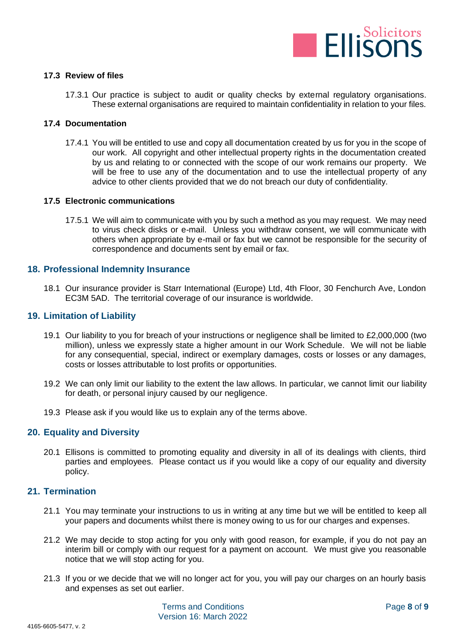

#### **17.3 Review of files**

17.3.1 Our practice is subject to audit or quality checks by external regulatory organisations. These external organisations are required to maintain confidentiality in relation to your files.

#### **17.4 Documentation**

17.4.1 You will be entitled to use and copy all documentation created by us for you in the scope of our work. All copyright and other intellectual property rights in the documentation created by us and relating to or connected with the scope of our work remains our property. We will be free to use any of the documentation and to use the intellectual property of any advice to other clients provided that we do not breach our duty of confidentiality.

#### **17.5 Electronic communications**

17.5.1 We will aim to communicate with you by such a method as you may request. We may need to virus check disks or e-mail. Unless you withdraw consent, we will communicate with others when appropriate by e-mail or fax but we cannot be responsible for the security of correspondence and documents sent by email or fax.

## **18. Professional Indemnity Insurance**

18.1 Our insurance provider is Starr International (Europe) Ltd, 4th Floor, 30 Fenchurch Ave, London EC3M 5AD. The territorial coverage of our insurance is worldwide.

#### **19. Limitation of Liability**

- 19.1 Our liability to you for breach of your instructions or negligence shall be limited to £2,000,000 (two million), unless we expressly state a higher amount in our Work Schedule. We will not be liable for any consequential, special, indirect or exemplary damages, costs or losses or any damages, costs or losses attributable to lost profits or opportunities.
- 19.2 We can only limit our liability to the extent the law allows. In particular, we cannot limit our liability for death, or personal injury caused by our negligence.
- 19.3 Please ask if you would like us to explain any of the terms above.

#### **20. Equality and Diversity**

20.1 Ellisons is committed to promoting equality and diversity in all of its dealings with clients, third parties and employees. Please contact us if you would like a copy of our equality and diversity policy.

## **21. Termination**

- 21.1 You may terminate your instructions to us in writing at any time but we will be entitled to keep all your papers and documents whilst there is money owing to us for our charges and expenses.
- 21.2 We may decide to stop acting for you only with good reason, for example, if you do not pay an interim bill or comply with our request for a payment on account. We must give you reasonable notice that we will stop acting for you.
- 21.3 If you or we decide that we will no longer act for you, you will pay our charges on an hourly basis and expenses as set out earlier.